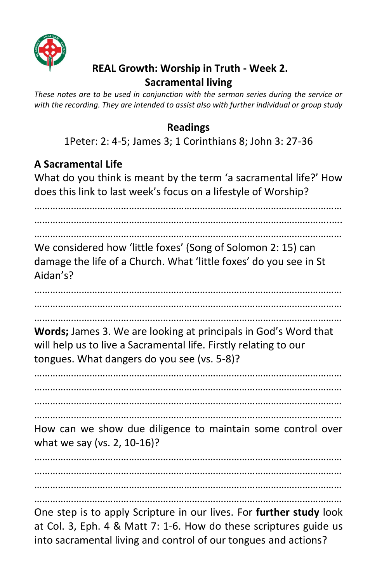

### **REAL Growth: Worship in Truth - Week 2. Sacramental living**

*These notes are to be used in conjunction with the sermon series during the service or with the recording. They are intended to assist also with further individual or group study* 

### **Readings**

1Peter: 2: 4-5; James 3; 1 Corinthians 8; John 3: 27-36

#### **A Sacramental Life**

What do you think is meant by the term 'a sacramental life?' How does this link to last week's focus on a lifestyle of Worship?

……………………………………………………………………………………………………… …………………………………………………………………………………………………..…. ……………………………………………………………………………………………………… We considered how 'little foxes' (Song of Solomon 2: 15) can damage the life of a Church. What 'little foxes' do you see in St Aidan's? ……………………………………………………………………………………………………… ……………………………………………………………………………………………………… ……………………………………………………………………………………………………… **Words;** James 3. We are looking at principals in God's Word that will help us to live a Sacramental life. Firstly relating to our tongues. What dangers do you see (vs. 5-8)? ……………………………………………………………………………………………………… ……………………………………………………………………………………………………… ……………………………………………………………………………………………………… ……………………………………………………………………………………………………… How can we show due diligence to maintain some control over

what we say (vs. 2, 10-16)?

……………………………………………………………………………………………………… ……………………………………………………………………………………………………… ………………………………………………………………………………………………………

………………………………………………………………………………………………………

One step is to apply Scripture in our lives. For **further study** look at Col. 3, Eph. 4 & Matt 7: 1-6. How do these scriptures guide us into sacramental living and control of our tongues and actions?